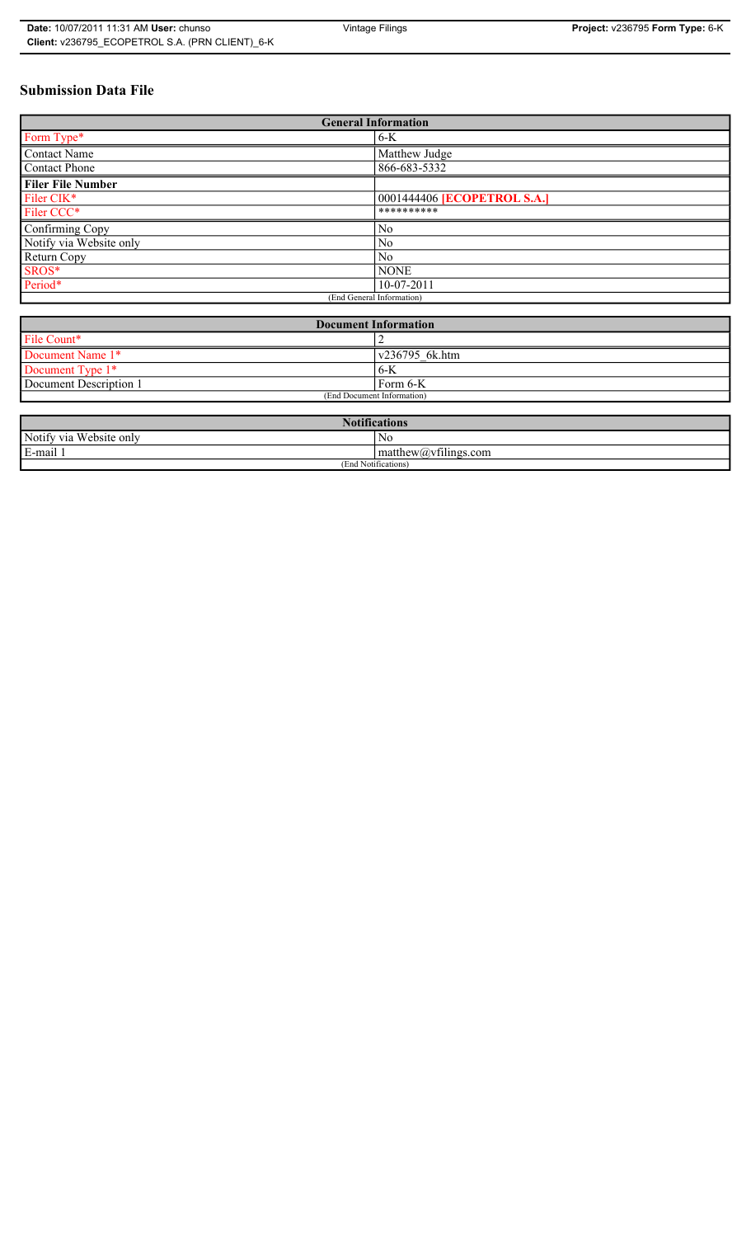# **Submission Data File**

| <b>General Information</b> |                                    |  |  |  |
|----------------------------|------------------------------------|--|--|--|
| Form Type*                 | $6-K$                              |  |  |  |
| <b>Contact Name</b>        | Matthew Judge                      |  |  |  |
| Contact Phone              | 866-683-5332                       |  |  |  |
| <b>Filer File Number</b>   |                                    |  |  |  |
| Filer CIK <sup>*</sup>     | 0001444406 <b>[ECOPETROL S.A.]</b> |  |  |  |
| Filer CCC*                 | **********                         |  |  |  |
| Confirming Copy            | N <sub>0</sub>                     |  |  |  |
| Notify via Website only    | N <sub>0</sub>                     |  |  |  |
| Return Copy                | No                                 |  |  |  |
| SROS*                      | <b>NONE</b>                        |  |  |  |
| Period*                    | $10-07-2011$                       |  |  |  |
| (End General Information)  |                                    |  |  |  |

| <b>Document Information</b> |                        |  |  |
|-----------------------------|------------------------|--|--|
| File Count*                 |                        |  |  |
| Document Name 1*            | $\sqrt{236795}$ 6k.htm |  |  |
| Document Type 1*            | 6-K                    |  |  |
| Document Description 1      | Form 6-K               |  |  |
| (End Document Information)  |                        |  |  |

| <b>Notifications</b>         |                                                        |  |  |
|------------------------------|--------------------------------------------------------|--|--|
| Notify via<br>u Website only | N0                                                     |  |  |
| E-mail 1                     | $\sim$ $\cdot$<br>$math>math>matrix(a)$ , willings.com |  |  |
| (End Notifications)          |                                                        |  |  |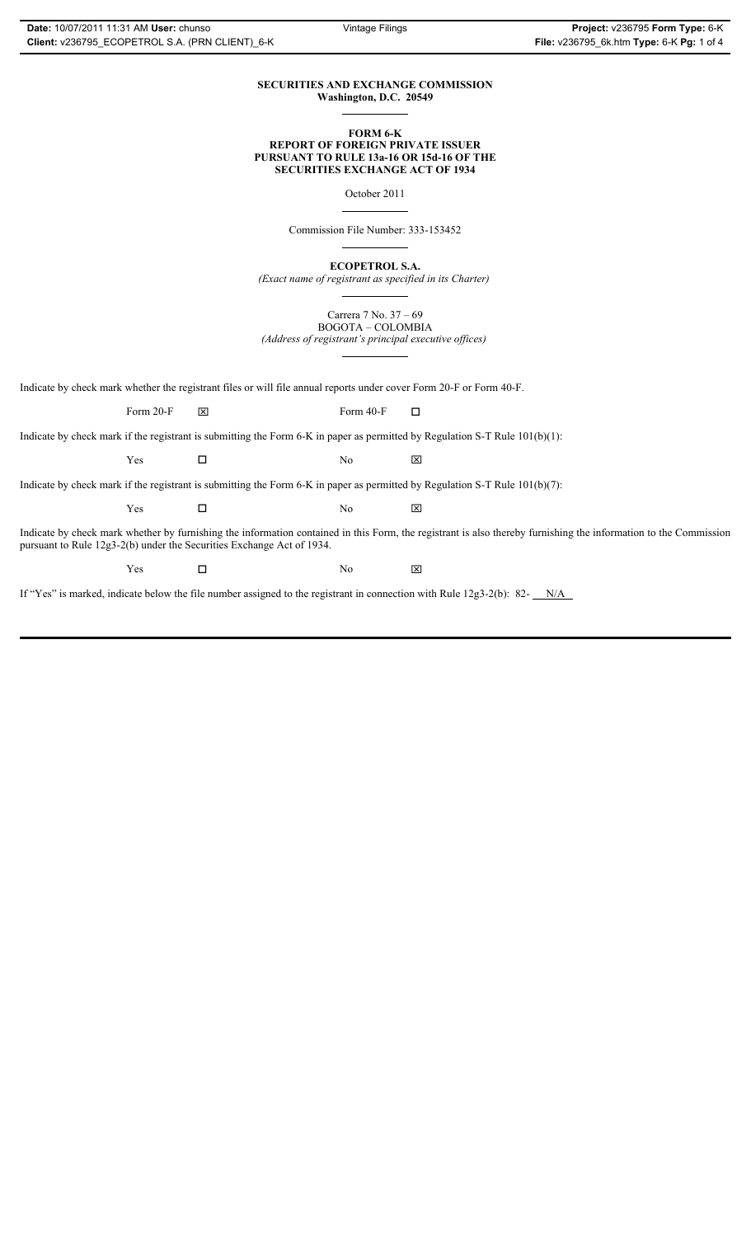#### **SECURITIES AND EXCHANGE COMMISSION Washington, D.C. 20549**  $\overline{a}$

**FORM 6-K**

# **REPORT OF FOREIGN PRIVATE ISSUER PURSUANT TO RULE 13a-16 OR 15d-16 OF THE SECURITIES EXCHANGE ACT OF 1934**

October 2011

 $\overline{a}$ 

 $\overline{a}$ 

 $\overline{a}$ 

Commission File Number: 333-153452

**ECOPETROL S.A.**

*(Exact name of registrant as specified in its Charter)*

Carrera 7 No. 37 – 69 BOGOTA – COLOMBIA

*(Address of registrant's principal executive offices)*  $\overline{a}$ 

Indicate by check mark whether the registrant files or will file annual reports under cover Form 20-F or Form 40-F.

Form 20-F  $\boxtimes$  Form 40-F  $\Box$ 

Indicate by check mark if the registrant is submitting the Form 6-K in paper as permitted by Regulation S-T Rule 101(b)(1):

 $Yes$   $\Box$  No  $\boxtimes$ 

Indicate by check mark if the registrant is submitting the Form 6-K in paper as permitted by Regulation S-T Rule 101(b)(7):

| $ -$<br>Y es<br>__ | Nο | 冈<br>_ |
|--------------------|----|--------|
|                    |    |        |

Indicate by check mark whether by furnishing the information contained in this Form, the registrant is also thereby furnishing the information to the Commission pursuant to Rule 12g3-2(b) under the Securities Exchange Act of 1934.

 $Yes$   $\square$  No  $\boxtimes$ 

If "Yes" is marked, indicate below the file number assigned to the registrant in connection with Rule 12g3-2(b): 82-  $N/A$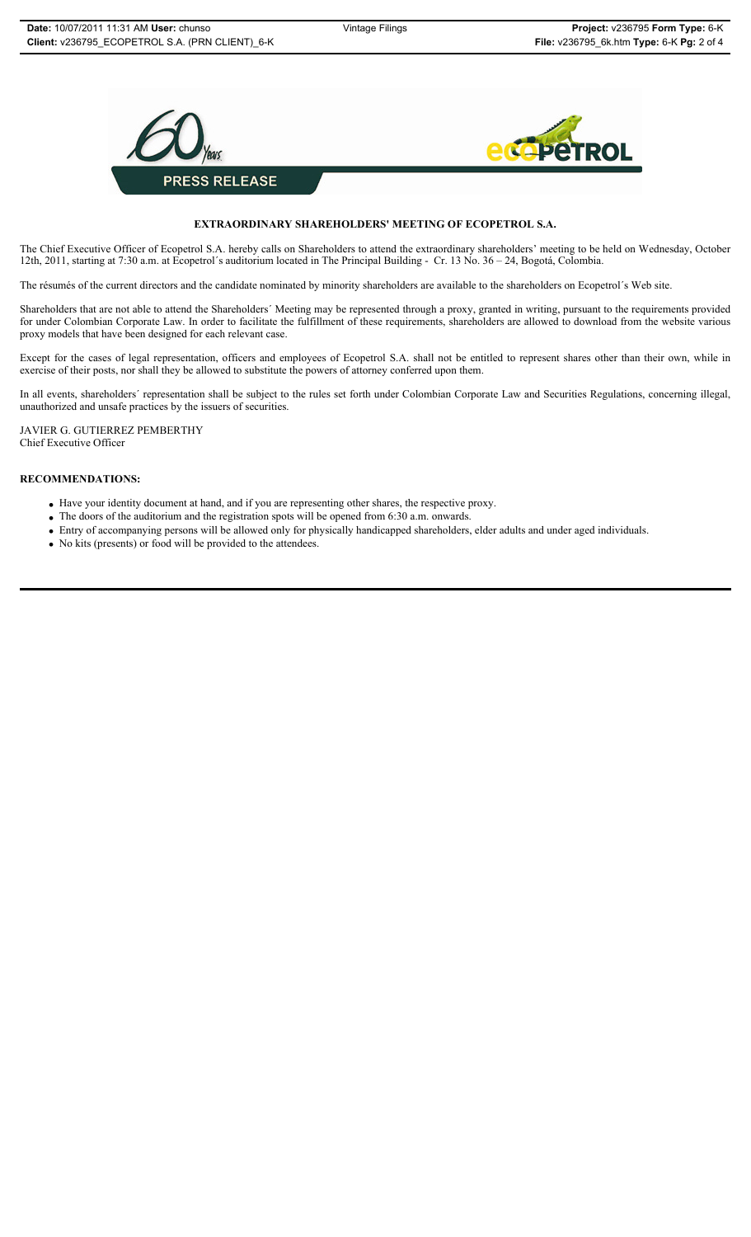

# **EXTRAORDINARY SHAREHOLDERS' MEETING OF ECOPETROL S.A.**

The Chief Executive Officer of Ecopetrol S.A. hereby calls on Shareholders to attend the extraordinary shareholders' meeting to be held on Wednesday, October 12th, 2011, starting at 7:30 a.m. at Ecopetrol´s auditorium located in The Principal Building - Cr. 13 No. 36 – 24, Bogotá, Colombia.

The résumés of the current directors and the candidate nominated by minority shareholders are available to the shareholders on Ecopetrol´s Web site.

Shareholders that are not able to attend the Shareholders´ Meeting may be represented through a proxy, granted in writing, pursuant to the requirements provided for under Colombian Corporate Law. In order to facilitate the fulfillment of these requirements, shareholders are allowed to download from the website various proxy models that have been designed for each relevant case.

Except for the cases of legal representation, officers and employees of Ecopetrol S.A. shall not be entitled to represent shares other than their own, while in exercise of their posts, nor shall they be allowed to substitute the powers of attorney conferred upon them.

In all events, shareholders´ representation shall be subject to the rules set forth under Colombian Corporate Law and Securities Regulations, concerning illegal, unauthorized and unsafe practices by the issuers of securities.

JAVIER G. GUTIERREZ PEMBERTHY Chief Executive Officer

#### **RECOMMENDATIONS:**

- Have your identity document at hand, and if you are representing other shares, the respective proxy.
- The doors of the auditorium and the registration spots will be opened from 6:30 a.m. onwards.
- Entry of accompanying persons will be allowed only for physically handicapped shareholders, elder adults and under aged individuals.
- No kits (presents) or food will be provided to the attendees.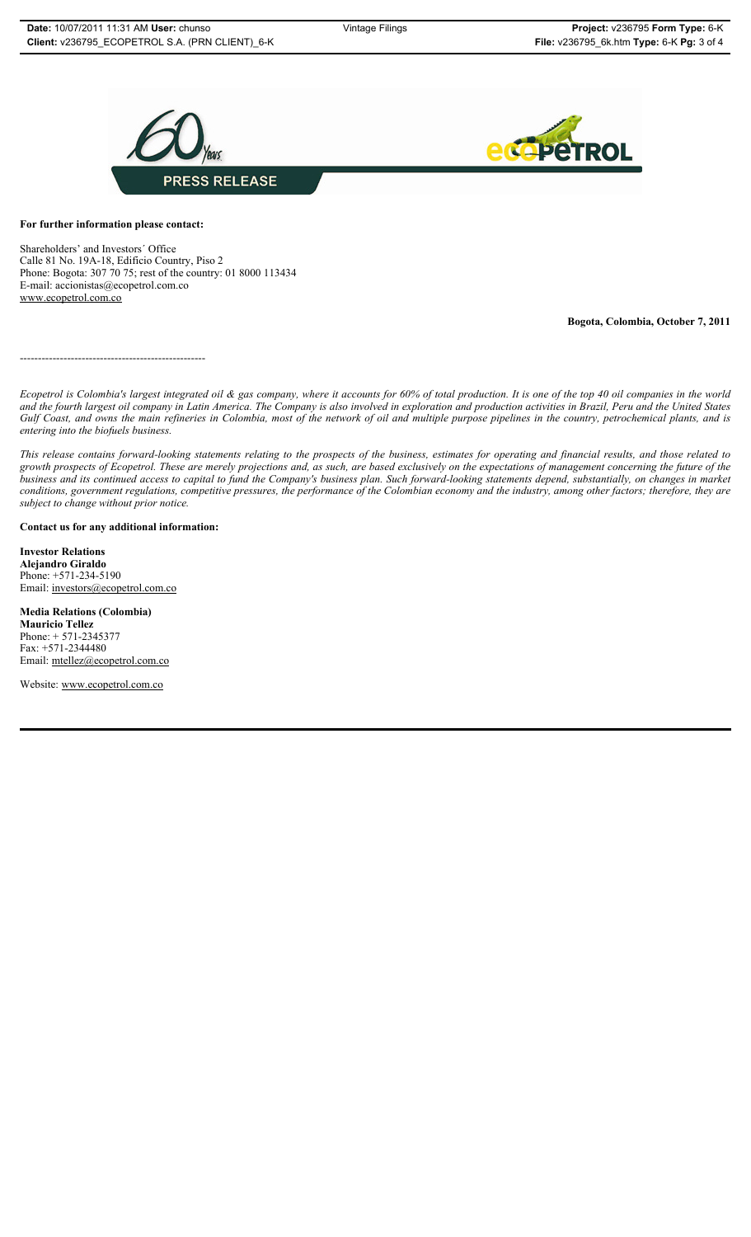

# **For further information please contact:**

Shareholders' and Investors´ Office Calle 81 No. 19A-18, Edificio Country, Piso 2 Phone: Bogota: 307 70 75; rest of the country: 01 8000 113434 E-mail: accionistas@ecopetrol.com.co www.ecopetrol.com.co

**Bogota, Colombia, October 7, 2011**

---------------------------------------------------

*Ecopetrol is Colombia's largest integrated oil & gas company, where it accounts for 60% of total production. It is one of the top 40 oil companies in the world and the fourth largest oil company in Latin America. The Company is also involved in exploration and production activities in Brazil, Peru and the United States Gulf Coast, and owns the main refineries in Colombia, most of the network of oil and multiple purpose pipelines in the country, petrochemical plants, and is entering into the biofuels business.*

*This release contains forward-looking statements relating to the prospects of the business, estimates for operating and financial results, and those related to growth prospects of Ecopetrol. These are merely projections and, as such, are based exclusively on the expectations of management concerning the future of the business and its continued access to capital to fund the Company's business plan. Such forward-looking statements depend, substantially, on changes in market conditions, government regulations, competitive pressures, the performance of the Colombian economy and the industry, among other factors; therefore, they are subject to change without prior notice.*

## **Contact us for any additional information:**

**Investor Relations Alejandro Giraldo** Phone: +571-234-5190 Email: investors@ecopetrol.com.co

**Media Relations (Colombia) Mauricio Tellez** Phone: + 571-2345377 Fax: +571-2344480 Email: mtellez@ecopetrol.com.co

Website: www.ecopetrol.com.co